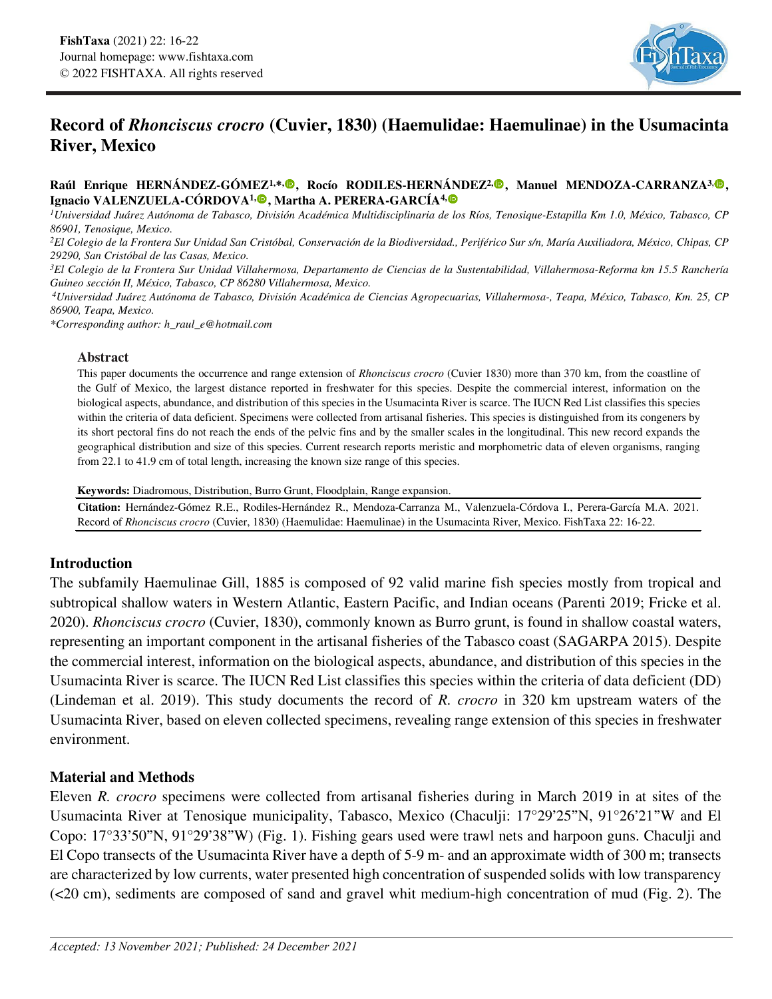

# **Record of** *Rhonciscus crocro* **(Cuvier, 1830) (Haemulidae: Haemulinae) in the Usumacinta River, Mexico**

### **Raúl Enrique HERNÁNDEZ-GÓMEZ1,\*[,](https://orcid.org/0000-0002-4865-6485) , Rocío RODILES-HERNÁNDEZ2[,](https://orcid.org/0000-0003-0355-5477) , Manuel MENDOZA-CARRANZA3, , Ignacio VALENZUELA-CÓRDOVA1[,](https://orcid.org/0000-0001-7111-6885) , Martha A. PERERA-GARCÍA4,**

*1Universidad Juárez Autónoma de Tabasco, División Académica Multidisciplinaria de los Ríos, Tenosique-Estapilla Km 1.0, México, Tabasco, CP 86901, Tenosique, Mexico.*

*2El Colegio de la Frontera Sur Unidad San Cristóbal, Conservación de la Biodiversidad., Periférico Sur s/n, María Auxiliadora, México, Chipas, CP* 

29290, San Cristóbal de las Casas, Mexico.<br><sup>3</sup>El Colegio de la Frontera Sur Unidad Villahermosa, Departamento de Ciencias de la Sustentabilidad, Villahermosa-Reforma km 15.5 Ranchería<br>Guineo sección II, México, Tabasco, CP

*Guineo sección II, México, Tabasco, CP 86280 Villahermosa, Mexico. 4Universidad Juárez Autónoma de Tabasco, División Académica de Ciencias Agropecuarias, Villahermosa-, Teapa, México, Tabasco, Km. 25, CP 86900, Teapa, Mexico.*

*\*Corresponding author: h\_raul\_e@hotmail.com*

#### **Abstract**

This paper documents the occurrence and range extension of *Rhonciscus crocro* (Cuvier 1830) more than 370 km, from the coastline of the Gulf of Mexico, the largest distance reported in freshwater for this species. Despite the commercial interest, information on the biological aspects, abundance, and distribution of this species in the Usumacinta River is scarce. The IUCN Red List classifies this species within the criteria of data deficient. Specimens were collected from artisanal fisheries. This species is distinguished from its congeners by its short pectoral fins do not reach the ends of the pelvic fins and by the smaller scales in the longitudinal. This new record expands the geographical distribution and size of this species. Current research reports meristic and morphometric data of eleven organisms, ranging from 22.1 to 41.9 cm of total length, increasing the known size range of this species.

**Keywords:** Diadromous, Distribution, Burro Grunt, Floodplain, Range expansion.

**Citation:** Hernández-Gómez R.E., Rodiles-Hernández R., Mendoza-Carranza M., Valenzuela-Córdova I., Perera-García M.A. 2021. Record of *Rhonciscus crocro* (Cuvier, 1830) (Haemulidae: Haemulinae) in the Usumacinta River, Mexico. FishTaxa 22: 16-22.

## **Introduction**

The subfamily Haemulinae Gill, 1885 is composed of 92 valid marine fish species mostly from tropical and subtropical shallow waters in Western Atlantic, Eastern Pacific, and Indian oceans (Parenti 2019; Fricke et al. 2020). *Rhonciscus crocro* (Cuvier, 1830), commonly known as Burro grunt, is found in shallow coastal waters, representing an important component in the artisanal fisheries of the Tabasco coast (SAGARPA 2015). Despite the commercial interest, information on the biological aspects, abundance, and distribution of this species in the Usumacinta River is scarce. The IUCN Red List classifies this species within the criteria of data deficient (DD) (Lindeman et al. 2019). This study documents the record of *R. crocro* in 320 km upstream waters of the Usumacinta River, based on eleven collected specimens, revealing range extension of this species in freshwater environment.

# **Material and Methods**

Eleven *R. crocro* specimens were collected from artisanal fisheries during in March 2019 in at sites of the Usumacinta River at Tenosique municipality, Tabasco, Mexico (Chaculji: 17°29'25"N, 91°26'21"W and El Copo: 17°33'50"N, 91°29'38"W) (Fig. 1). Fishing gears used were trawl nets and harpoon guns. Chaculji and El Copo transects of the Usumacinta River have a depth of 5-9 m- and an approximate width of 300 m; transects are characterized by low currents, water presented high concentration of suspended solids with low transparency (<20 cm), sediments are composed of sand and gravel whit medium-high concentration of mud (Fig. 2). The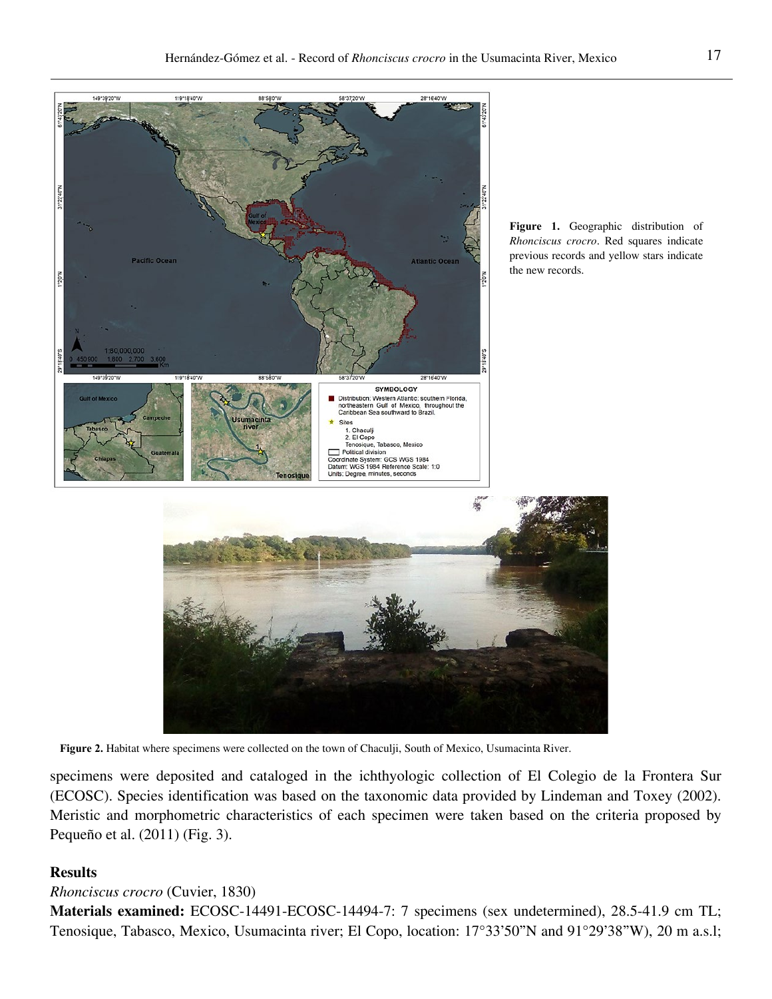

**Figure 2.** Habitat where specimens were collected on the town of Chaculji, South of Mexico, Usumacinta River.

specimens were deposited and cataloged in the ichthyologic collection of El Colegio de la Frontera Sur (ECOSC). Species identification was based on the taxonomic data provided by Lindeman and Toxey (2002). Meristic and morphometric characteristics of each specimen were taken based on the criteria proposed by Pequeño et al. (2011) (Fig. 3).

# **Results**

### *Rhonciscus crocro* (Cuvier, 1830)

**Materials examined:** ECOSC-14491-ECOSC-14494-7: 7 specimens (sex undetermined), 28.5-41.9 cm TL; Tenosique, Tabasco, Mexico, Usumacinta river; El Copo, location: 17°33'50"N and 91°29'38"W), 20 m a.s.l;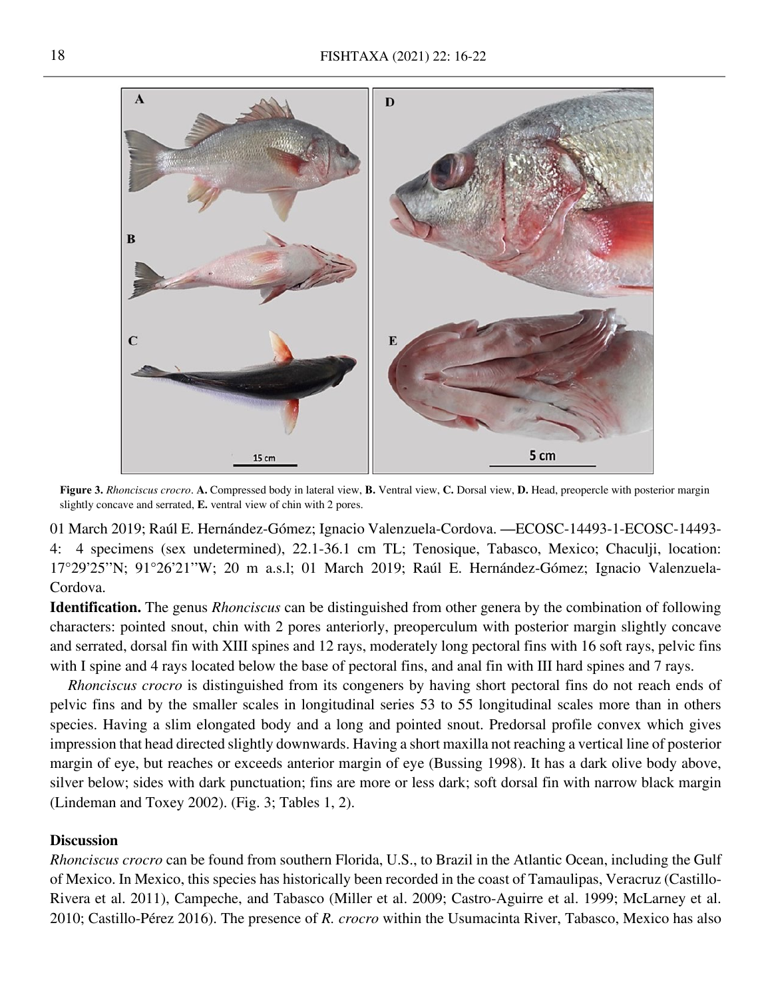

**Figure 3.** *Rhonciscus crocro*. **A.** Compressed body in lateral view, **B.** Ventral view, **C.** Dorsal view, **D.** Head, preopercle with posterior margin slightly concave and serrated, **E.** ventral view of chin with 2 pores.

01 March 2019; Raúl E. Hernández-Gómez; Ignacio Valenzuela-Cordova. —ECOSC-14493-1-ECOSC-14493- 4: 4 specimens (sex undetermined), 22.1-36.1 cm TL; Tenosique, Tabasco, Mexico; Chaculji, location: 17°29'25''N; 91°26'21''W; 20 m a.s.l; 01 March 2019; Raúl E. Hernández-Gómez; Ignacio Valenzuela-Cordova.

**Identification.** The genus *Rhonciscus* can be distinguished from other genera by the combination of following characters: pointed snout, chin with 2 pores anteriorly, preoperculum with posterior margin slightly concave and serrated, dorsal fin with XIII spines and 12 rays, moderately long pectoral fins with 16 soft rays, pelvic fins with I spine and 4 rays located below the base of pectoral fins, and anal fin with III hard spines and 7 rays.

*Rhonciscus crocro* is distinguished from its congeners by having short pectoral fins do not reach ends of pelvic fins and by the smaller scales in longitudinal series 53 to 55 longitudinal scales more than in others species. Having a slim elongated body and a long and pointed snout. Predorsal profile convex which gives impression that head directed slightly downwards. Having a short maxilla not reaching a vertical line of posterior margin of eye, but reaches or exceeds anterior margin of eye (Bussing 1998). It has a dark olive body above, silver below; sides with dark punctuation; fins are more or less dark; soft dorsal fin with narrow black margin (Lindeman and Toxey 2002). (Fig. 3; Tables 1, 2).

## **Discussion**

*Rhonciscus crocro* can be found from southern Florida, U.S., to Brazil in the Atlantic Ocean, including the Gulf of Mexico. In Mexico, this species has historically been recorded in the coast of Tamaulipas, Veracruz (Castillo-Rivera et al. 2011), Campeche, and Tabasco (Miller et al. 2009; Castro-Aguirre et al. 1999; McLarney et al. 2010; Castillo-Pérez 2016). The presence of *R. crocro* within the Usumacinta River, Tabasco, Mexico has also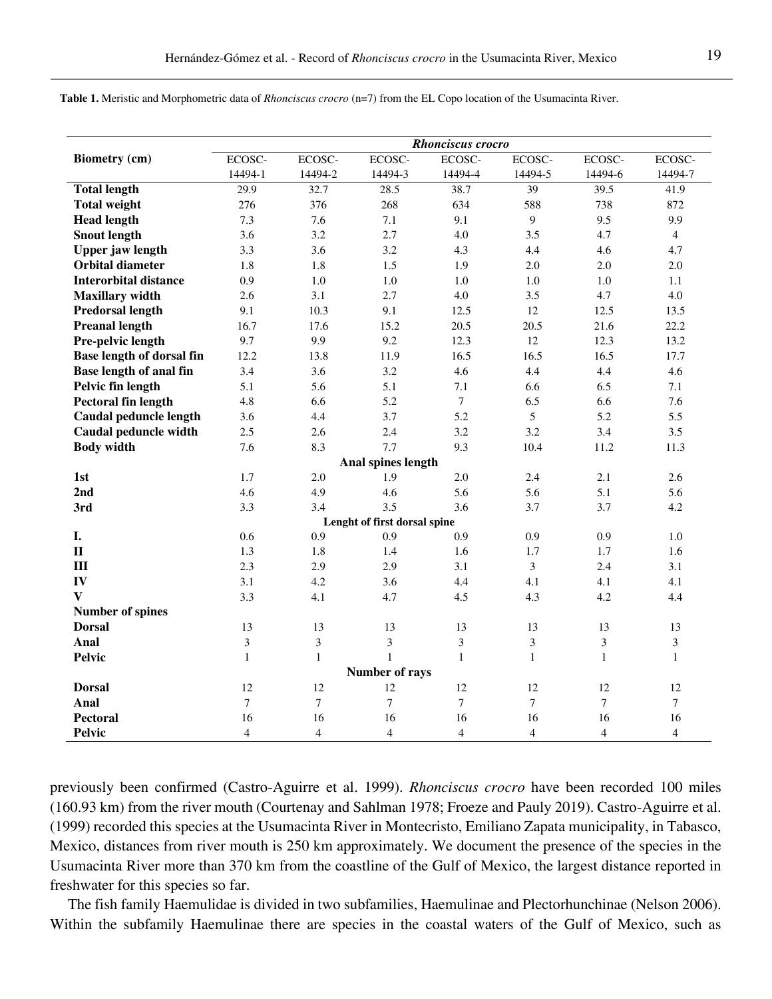|                              | Rhonciscus crocro |                |                |                  |                  |                  |                  |  |
|------------------------------|-------------------|----------------|----------------|------------------|------------------|------------------|------------------|--|
| <b>Biometry (cm)</b>         | ECOSC-            | ECOSC-         | ECOSC-         | ECOSC-           | ECOSC-           | ECOSC-           | ECOSC-           |  |
|                              | 14494-1           | 14494-2        | 14494-3        | 14494-4          | 14494-5          | 14494-6          | 14494-7          |  |
| <b>Total length</b>          | 29.9              | 32.7           | 28.5           | 38.7             | 39               | 39.5             | 41.9             |  |
| <b>Total weight</b>          | 276               | 376            | 268            | 634              | 588              | 738              | 872              |  |
| <b>Head length</b>           | 7.3               | 7.6            | 7.1            | 9.1              | 9                | 9.5              | 9.9              |  |
| <b>Snout length</b>          | 3.6               | 3.2            | 2.7            | 4.0              | 3.5              | 4.7              | $\overline{4}$   |  |
| <b>Upper jaw length</b>      | 3.3               | 3.6            | 3.2            | 4.3              | 4.4              | 4.6              | 4.7              |  |
| <b>Orbital diameter</b>      | 1.8               | 1.8            | 1.5            | 1.9              | 2.0              | 2.0              | 2.0              |  |
| <b>Interorbital distance</b> | 0.9               | 1.0            | $1.0\,$        | $1.0\,$          | $1.0\,$          | $1.0\,$          | 1.1              |  |
| <b>Maxillary</b> width       | 2.6               | 3.1            | 2.7            | 4.0              | 3.5              | 4.7              | 4.0              |  |
| <b>Predorsal length</b>      | 9.1               | 10.3           | 9.1            | 12.5             | 12               | 12.5             | 13.5             |  |
| <b>Preanal length</b>        | 16.7              | 17.6           | 15.2           | 20.5             | 20.5             | 21.6             | 22.2             |  |
| Pre-pelvic length            | 9.7               | 9.9            | 9.2            | 12.3             | 12               | 12.3             | 13.2             |  |
| Base length of dorsal fin    | 12.2              | 13.8           | 11.9           | 16.5             | 16.5             | 16.5             | 17.7             |  |
| Base length of anal fin      | 3.4               | 3.6            | 3.2            | 4.6              | 4.4              | 4.4              | 4.6              |  |
| Pelvic fin length            | 5.1               | 5.6            | 5.1            | 7.1              | 6.6              | 6.5              | 7.1              |  |
| <b>Pectoral fin length</b>   | 4.8               | 6.6            | 5.2            | $\boldsymbol{7}$ | 6.5              | 6.6              | 7.6              |  |
| Caudal peduncle length       | 3.6               | 4.4            | 3.7            | 5.2              | 5                | 5.2              | 5.5              |  |
| Caudal peduncle width        | 2.5               | 2.6            | 2.4            | 3.2              | 3.2              | 3.4              | 3.5              |  |
| <b>Body width</b>            | 7.6               | 8.3            | 7.7            | 9.3              | 10.4             | 11.2             | 11.3             |  |
| Anal spines length           |                   |                |                |                  |                  |                  |                  |  |
| 1st                          | 1.7               | 2.0            | 1.9            | 2.0              | 2.4              | 2.1              | 2.6              |  |
| 2nd                          | 4.6               | 4.9            | 4.6            | 5.6              | 5.6              | 5.1              | 5.6              |  |
| 3rd                          | 3.3               | 3.4            | 3.5            | 3.6              | 3.7              | 3.7              | 4.2              |  |
| Lenght of first dorsal spine |                   |                |                |                  |                  |                  |                  |  |
| I.                           | 0.6               | 0.9            | 0.9            | 0.9              | 0.9              | 0.9              | 1.0              |  |
| $\mathbf{I}$                 | 1.3               | 1.8            | 1.4            | 1.6              | 1.7              | 1.7              | 1.6              |  |
| III                          | 2.3               | 2.9            | 2.9            | 3.1              | 3                | 2.4              | 3.1              |  |
| IV                           | 3.1               | 4.2            | 3.6            | 4.4              | 4.1              | 4.1              | 4.1              |  |
| $\mathbf{V}$                 | 3.3               | 4.1            | 4.7            | 4.5              | 4.3              | 4.2              | 4.4              |  |
| <b>Number of spines</b>      |                   |                |                |                  |                  |                  |                  |  |
| <b>Dorsal</b>                | 13                | 13             | 13             | 13               | 13               | 13               | 13               |  |
| Anal                         | $\mathfrak{Z}$    | 3              | 3              | 3                | $\mathfrak{Z}$   | 3                | 3                |  |
| <b>Pelvic</b>                | $\mathbf{1}$      | $\mathbf{1}$   | $\mathbf{1}$   | $\mathbf 1$      | $\mathbf{1}$     | $\mathbf{1}$     | $\mathbf{1}$     |  |
| Number of rays               |                   |                |                |                  |                  |                  |                  |  |
| <b>Dorsal</b>                | 12                | 12             | 12             | 12               | 12               | 12               | 12               |  |
| Anal                         | 7                 | $\overline{7}$ | $\overline{7}$ | $\tau$           | $\boldsymbol{7}$ | $\boldsymbol{7}$ | $\boldsymbol{7}$ |  |
| Pectoral                     | 16                | 16             | 16             | 16               | 16               | 16               | 16               |  |
| <b>Pelvic</b>                | $\overline{4}$    | 4              | $\overline{4}$ | $\overline{4}$   | $\overline{4}$   | $\overline{4}$   | $\overline{4}$   |  |

**Table 1.** Meristic and Morphometric data of *Rhonciscus crocro* (n=7) from the EL Copo location of the Usumacinta River.

previously been confirmed (Castro-Aguirre et al. 1999). *Rhonciscus crocro* have been recorded 100 miles (160.93 km) from the river mouth (Courtenay and Sahlman 1978; Froeze and Pauly 2019). Castro-Aguirre et al. (1999) recorded this species at the Usumacinta River in Montecristo, Emiliano Zapata municipality, in Tabasco, Mexico, distances from river mouth is 250 km approximately. We document the presence of the species in the Usumacinta River more than 370 km from the coastline of the Gulf of Mexico, the largest distance reported in freshwater for this species so far.

The fish family Haemulidae is divided in two subfamilies, Haemulinae and Plectorhunchinae (Nelson 2006). Within the subfamily Haemulinae there are species in the coastal waters of the Gulf of Mexico, such as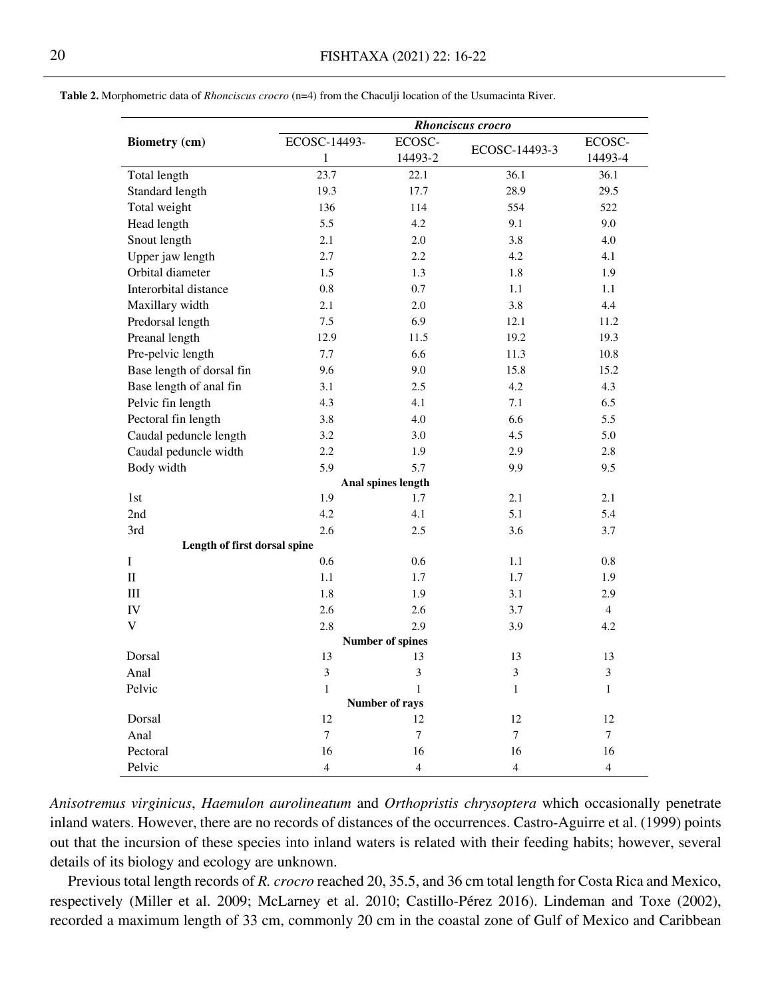|                              | <b>Rhonciscus</b> crocro |                |                |                |  |  |  |  |  |  |
|------------------------------|--------------------------|----------------|----------------|----------------|--|--|--|--|--|--|
| <b>Biometry (cm)</b>         | ECOSC-14493-             | ECOSC-         |                | ECOSC-         |  |  |  |  |  |  |
|                              | $\,1\,$                  | 14493-2        | ECOSC-14493-3  | 14493-4        |  |  |  |  |  |  |
| Total length                 | 23.7                     | 22.1           | 36.1           | 36.1           |  |  |  |  |  |  |
| Standard length              | 19.3                     | 17.7           | 28.9           | 29.5           |  |  |  |  |  |  |
| Total weight                 | 136                      | 114            | 554            | 522            |  |  |  |  |  |  |
| Head length                  | 5.5                      | 4.2            | 9.1            | 9.0            |  |  |  |  |  |  |
| Snout length                 | 2.1                      | 2.0            | 3.8            | 4.0            |  |  |  |  |  |  |
| Upper jaw length             | 2.7                      | 2.2            | 4.2            | 4.1            |  |  |  |  |  |  |
| Orbital diameter             | 1.5                      | 1.3            | 1.8            | 1.9            |  |  |  |  |  |  |
| Interorbital distance        | 0.8                      | 0.7            | 1.1            | 1.1            |  |  |  |  |  |  |
| Maxillary width              | 2.1                      | 2.0            | 3.8            | 4.4            |  |  |  |  |  |  |
| Predorsal length             | 7.5                      | 6.9            | 12.1           | 11.2           |  |  |  |  |  |  |
| Preanal length               | 12.9                     | 11.5           | 19.2           | 19.3           |  |  |  |  |  |  |
| Pre-pelvic length            | 7.7                      | 6.6            | 11.3           | 10.8           |  |  |  |  |  |  |
| Base length of dorsal fin    | 9.6                      | 9.0            | 15.8           | 15.2           |  |  |  |  |  |  |
| Base length of anal fin      | 3.1                      | 2.5            | 4.2            | 4.3            |  |  |  |  |  |  |
| Pelvic fin length            | 4.3                      | 4.1            | 7.1            | 6.5            |  |  |  |  |  |  |
| Pectoral fin length          | 3.8                      | 4.0            | 6.6            | 5.5            |  |  |  |  |  |  |
| Caudal peduncle length       | 3.2                      | 3.0            | 4.5            | 5.0            |  |  |  |  |  |  |
| Caudal peduncle width        | $2.2\phantom{0}$         | 1.9            | 2.9            | 2.8            |  |  |  |  |  |  |
| Body width                   | 5.9                      | 5.7            | 9.9            | 9.5            |  |  |  |  |  |  |
| Anal spines length           |                          |                |                |                |  |  |  |  |  |  |
| 1st                          | 1.9                      | 1.7            | 2.1            | 2.1            |  |  |  |  |  |  |
| 2nd                          | 4.2                      | 4.1            | 5.1            | 5.4            |  |  |  |  |  |  |
| 3rd                          | 2.6                      | 2.5            | 3.6            | 3.7            |  |  |  |  |  |  |
| Length of first dorsal spine |                          |                |                |                |  |  |  |  |  |  |
| I                            | 0.6                      | 0.6            | 1.1            | 0.8            |  |  |  |  |  |  |
| $\mathbf{I}$                 | 1.1                      | 1.7            | 1.7            | 1.9            |  |  |  |  |  |  |
| III                          | 1.8                      | 1.9            | 3.1            | 2.9            |  |  |  |  |  |  |
| IV                           | 2.6                      | 2.6            | 3.7            | $\overline{4}$ |  |  |  |  |  |  |
| $\mathbf V$                  | 2.8                      | 2.9            | 3.9            | 4.2            |  |  |  |  |  |  |
| <b>Number of spines</b>      |                          |                |                |                |  |  |  |  |  |  |
| Dorsal                       | 13                       | 13             | 13             | 13             |  |  |  |  |  |  |
| Anal                         | 3                        | $\mathfrak{Z}$ | 3              | 3              |  |  |  |  |  |  |
| Pelvic                       | $\mathbf{1}$             | $\mathbf{1}$   | $\mathbf{1}$   | $\mathbf{1}$   |  |  |  |  |  |  |
| Number of rays               |                          |                |                |                |  |  |  |  |  |  |
| Dorsal                       | 12                       | 12             | 12             | 12             |  |  |  |  |  |  |
| Anal                         | $\overline{7}$           | $\overline{7}$ | $\tau$         | 7              |  |  |  |  |  |  |
| Pectoral                     | 16                       | 16             | 16             | 16             |  |  |  |  |  |  |
| Pelvic                       | $\overline{4}$           | $\overline{4}$ | $\overline{4}$ | $\overline{4}$ |  |  |  |  |  |  |

**Table 2.** Morphometric data of *Rhonciscus crocro* (n=4) from the Chaculji location of the Usumacinta River.

*Anisotremus virginicus*, *Haemulon aurolineatum* and *Orthopristis chrysoptera* which occasionally penetrate inland waters. However, there are no records of distances of the occurrences. Castro-Aguirre et al. (1999) points out that the incursion of these species into inland waters is related with their feeding habits; however, several details of its biology and ecology are unknown.

Previous total length records of *R. crocro* reached 20, 35.5, and 36 cm total length for Costa Rica and Mexico, respectively (Miller et al. 2009; McLarney et al. 2010; Castillo-Pérez 2016). Lindeman and Toxe (2002), recorded a maximum length of 33 cm, commonly 20 cm in the coastal zone of Gulf of Mexico and Caribbean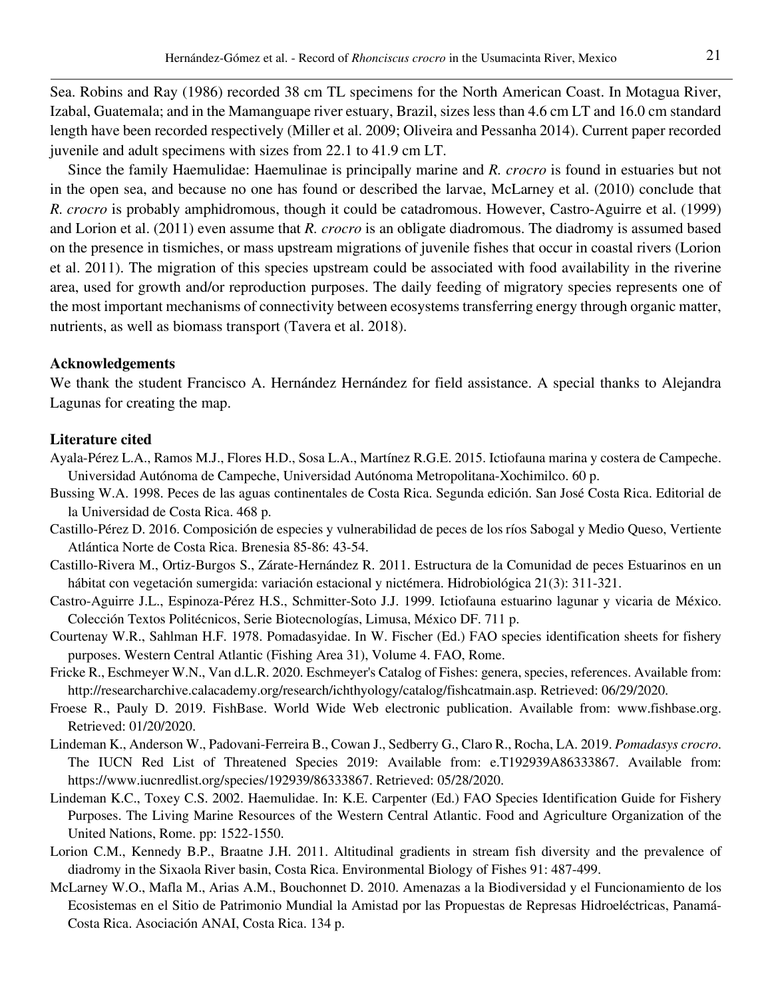Sea. Robins and Ray (1986) recorded 38 cm TL specimens for the North American Coast. In Motagua River, Izabal, Guatemala; and in the Mamanguape river estuary, Brazil, sizes less than 4.6 cm LT and 16.0 cm standard length have been recorded respectively (Miller et al. 2009; Oliveira and Pessanha 2014). Current paper recorded juvenile and adult specimens with sizes from 22.1 to 41.9 cm LT.

Since the family Haemulidae: Haemulinae is principally marine and *R. crocro* is found in estuaries but not in the open sea, and because no one has found or described the larvae, McLarney et al. (2010) conclude that *R. crocro* is probably amphidromous, though it could be catadromous. However, Castro-Aguirre et al. (1999) and Lorion et al. (2011) even assume that *R. crocro* is an obligate diadromous. The diadromy is assumed based on the presence in tismiches, or mass upstream migrations of juvenile fishes that occur in coastal rivers (Lorion et al. 2011). The migration of this species upstream could be associated with food availability in the riverine area, used for growth and/or reproduction purposes. The daily feeding of migratory species represents one of the most important mechanisms of connectivity between ecosystems transferring energy through organic matter, nutrients, as well as biomass transport (Tavera et al. 2018).

### **Acknowledgements**

We thank the student Francisco A. Hernández Hernández for field assistance. A special thanks to Alejandra Lagunas for creating the map.

### **Literature cited**

- Ayala-Pérez L.A., Ramos M.J., Flores H.D., Sosa L.A., Martínez R.G.E. 2015. Ictiofauna marina y costera de Campeche. Universidad Autónoma de Campeche, Universidad Autónoma Metropolitana-Xochimilco. 60 p.
- Bussing W.A. 1998. Peces de las aguas continentales de Costa Rica. Segunda edición. San José Costa Rica. Editorial de la Universidad de Costa Rica. 468 p.
- Castillo-Pérez D. 2016. Composición de especies y vulnerabilidad de peces de los ríos Sabogal y Medio Queso, Vertiente Atlántica Norte de Costa Rica. Brenesia 85-86: 43-54.
- Castillo-Rivera M., Ortiz-Burgos S., Zárate-Hernández R. 2011. Estructura de la Comunidad de peces Estuarinos en un hábitat con vegetación sumergida: variación estacional y nictémera. Hidrobiológica 21(3): 311-321.
- Castro-Aguirre J.L., Espinoza-Pérez H.S., Schmitter-Soto J.J. 1999. Ictiofauna estuarino lagunar y vicaria de México. Colección Textos Politécnicos, Serie Biotecnologías, Limusa, México DF. 711 p.
- Courtenay W.R., Sahlman H.F. 1978. Pomadasyidae. In W. Fischer (Ed.) FAO species identification sheets for fishery purposes. Western Central Atlantic (Fishing Area 31), Volume 4. FAO, Rome.
- Fricke R., Eschmeyer W.N., Van d.L.R. 2020. Eschmeyer's Catalog of Fishes: genera, species, references. Available from: [http://researcharchive.calacademy.org/research/ichthyology/catalog/fishcatmain.asp.](http://researcharchive.calacademy.org/research/ichthyology/catalog/fishcatmain.asp) Retrieved: 06/29/2020.
- Froese R., Pauly D. 2019. FishBase. World Wide Web electronic publication. Available from: www.fishbase.org. Retrieved: 01/20/2020.
- Lindeman K., Anderson W., Padovani-Ferreira B., Cowan J., Sedberry G., Claro R., Rocha, LA. 2019. *Pomadasys crocro*. The IUCN Red List of Threatened Species 2019: Available from: e.T192939A86333867. Available from: https://www.iucnredlist.org/species/192939/86333867. Retrieved: 05/28/2020.
- Lindeman K.C., Toxey C.S. 2002. Haemulidae. In: K.E. Carpenter (Ed.) FAO Species Identification Guide for Fishery Purposes. The Living Marine Resources of the Western Central Atlantic. Food and Agriculture Organization of the United Nations, Rome. pp: 1522‐1550.
- Lorion C.M., Kennedy B.P., Braatne J.H. 2011. Altitudinal gradients in stream fish diversity and the prevalence of diadromy in the Sixaola River basin, Costa Rica. Environmental Biology of Fishes 91: 487-499.
- McLarney W.O., Mafla M., Arias A.M., Bouchonnet D. 2010. Amenazas a la Biodiversidad y el Funcionamiento de los Ecosistemas en el Sitio de Patrimonio Mundial la Amistad por las Propuestas de Represas Hidroeléctricas, Panamá‐ Costa Rica. Asociación ANAI, Costa Rica. 134 p.